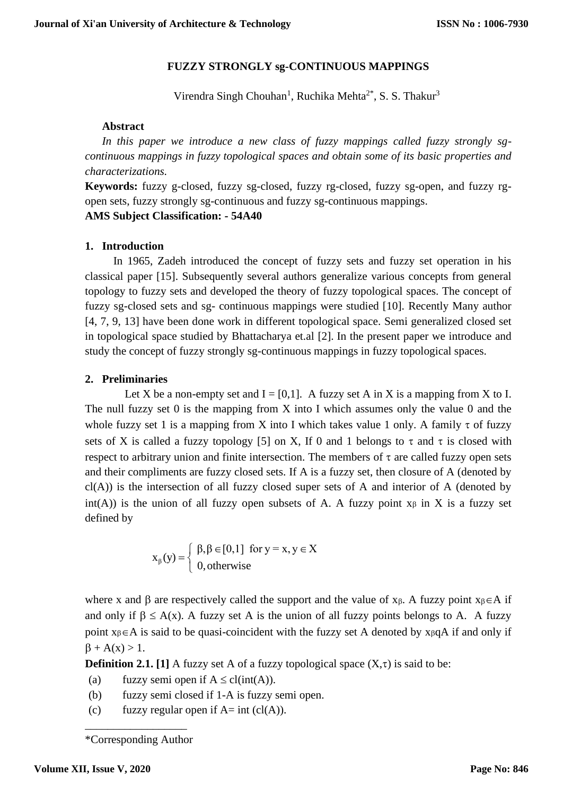# **FUZZY STRONGLY sg-CONTINUOUS MAPPINGS**

Virendra Singh Chouhan<sup>1</sup>, Ruchika Mehta<sup>2\*</sup>, S. S. Thakur<sup>3</sup>

#### **Abstract**

*In this paper we introduce a new class of fuzzy mappings called fuzzy strongly sgcontinuous mappings in fuzzy topological spaces and obtain some of its basic properties and characterizations.*

**Keywords:** fuzzy g-closed, fuzzy sg-closed, fuzzy rg-closed, fuzzy sg-open, and fuzzy rgopen sets, fuzzy strongly sg-continuous and fuzzy sg-continuous mappings.

### **AMS Subject Classification: - 54A40**

### **1. Introduction**

In 1965, Zadeh introduced the concept of fuzzy sets and fuzzy set operation in his classical paper [15]. Subsequently several authors generalize various concepts from general topology to fuzzy sets and developed the theory of fuzzy topological spaces. The concept of fuzzy sg-closed sets and sg- continuous mappings were studied [10]. Recently Many author [4, 7, 9, 13] have been done work in different topological space. Semi generalized closed set in topological space studied by Bhattacharya et.al [2]. In the present paper we introduce and study the concept of fuzzy strongly sg-continuous mappings in fuzzy topological spaces.

### **2. Preliminaries**

Let X be a non-empty set and  $I = [0,1]$ . A fuzzy set A in X is a mapping from X to I. The null fuzzy set  $0$  is the mapping from  $X$  into I which assumes only the value  $0$  and the whole fuzzy set 1 is a mapping from X into I which takes value 1 only. A family  $\tau$  of fuzzy sets of X is called a fuzzy topology [5] on X, If 0 and 1 belongs to  $\tau$  and  $\tau$  is closed with respect to arbitrary union and finite intersection. The members of  $\tau$  are called fuzzy open sets and their compliments are fuzzy closed sets. If A is a fuzzy set, then closure of A (denoted by  $cl(A)$ ) is the intersection of all fuzzy closed super sets of A and interior of A (denoted by int(A)) is the union of all fuzzy open subsets of A. A fuzzy point  $x_{\beta}$  in X is a fuzzy set defined by

$$
x_{\beta}(y) = \begin{cases} \beta, \beta \in [0,1] & \text{for } y = x, y \in X \\ 0, \text{otherwise} \end{cases}
$$

where x and  $\beta$  are respectively called the support and the value of x<sub> $\beta$ </sub>. A fuzzy point x<sub> $\beta \in A$ </sub> if and only if  $\beta \leq A(x)$ . A fuzzy set A is the union of all fuzzy points belongs to A. A fuzzy point  $x_{\beta} \in A$  is said to be quasi-coincident with the fuzzy set A denoted by  $x_{\beta} qA$  if and only if  $\beta + A(x) > 1$ .

**Definition 2.1.** [1] A fuzzy set A of a fuzzy topological space  $(X,\tau)$  is said to be:

- (a) fuzzy semi open if  $A \leq cl(int(A))$ .
- (b) fuzzy semi closed if 1-A is fuzzy semi open.
- (c) fuzzy regular open if  $A=$  int (cl(A)).

\_\_\_\_\_\_\_\_\_\_\_\_\_\_\_\_\_\_ \*Corresponding Author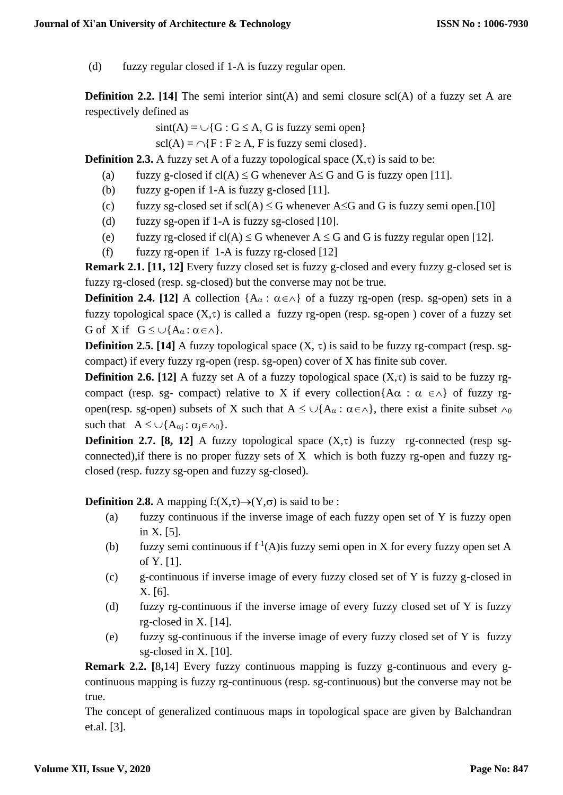(d) fuzzy regular closed if 1-A is fuzzy regular open.

**Definition 2.2.** [14] The semi interior sint(A) and semi closure scl(A) of a fuzzy set A are respectively defined as

 $sint(A) = \bigcup \{G : G \leq A, G \text{ is fuzzy semi open}\}\$ 

 $\text{scl}(A) = \bigcap \{F : F \geq A, F \text{ is fuzzy semi closed}\}.$ 

**Definition 2.3.** A fuzzy set A of a fuzzy topological space  $(X,\tau)$  is said to be:

- (a) fuzzy g-closed if  $cl(A) \leq G$  whenever  $A \leq G$  and G is fuzzy open [11].
- (b) fuzzy g-open if 1-A is fuzzy g-closed [11].
- (c) fuzzy sg-closed set if  $\text{scl}(A) \leq G$  whenever A $\leq G$  and G is fuzzy semi open.[10]
- (d) fuzzy sg-open if 1-A is fuzzy sg-closed [10].
- (e) fuzzy rg-closed if  $cl(A) \leq G$  whenever  $A \leq G$  and G is fuzzy regular open [12].
- (f) fuzzy rg-open if  $1-A$  is fuzzy rg-closed [12]

**Remark 2.1. [11, 12]** Every fuzzy closed set is fuzzy g-closed and every fuzzy g-closed set is fuzzy rg-closed (resp. sg-closed) but the converse may not be true.

**Definition 2.4. [12]** A collection  ${A_{\alpha} : \alpha \in \wedge}$  of a fuzzy rg-open (resp. sg-open) sets in a fuzzy topological space  $(X,\tau)$  is called a fuzzy rg-open (resp. sg-open) cover of a fuzzy set G of X if  $G \leq \bigcup \{A_{\alpha} : \alpha \in \wedge\}$ .

**Definition 2.5. [14]** A fuzzy topological space  $(X, \tau)$  is said to be fuzzy rg-compact (resp. sgcompact) if every fuzzy rg-open (resp. sg-open) cover of X has finite sub cover.

**Definition 2.6.** [12] A fuzzy set A of a fuzzy topological space  $(X,\tau)$  is said to be fuzzy rgcompact (resp. sg- compact) relative to X if every collection{ $A\alpha$ :  $\alpha \in \wedge$ } of fuzzy rgopen(resp. sg-open) subsets of X such that  $A \leq \bigcup \{A_\alpha : \alpha \in \wedge\}$ , there exist a finite subset  $\wedge_0$ such that  $A \leq \bigcup \{A_{\alpha j} : \alpha_j \in \wedge_0\}.$ 

**Definition 2.7. [8, 12]** A fuzzy topological space  $(X,\tau)$  is fuzzy rg-connected (resp sgconnected),if there is no proper fuzzy sets of X which is both fuzzy rg-open and fuzzy rgclosed (resp. fuzzy sg-open and fuzzy sg-closed).

**Definition 2.8.** A mapping  $f:(X,\tau) \rightarrow (Y,\sigma)$  is said to be :

- (a) fuzzy continuous if the inverse image of each fuzzy open set of Y is fuzzy open in X. [5].
- (b) fuzzy semi continuous if  $f<sup>1</sup>(A)$  is fuzzy semi open in X for every fuzzy open set A of Y. [1].
- (c) g-continuous if inverse image of every fuzzy closed set of Y is fuzzy g-closed in X. [6].
- (d) fuzzy rg-continuous if the inverse image of every fuzzy closed set of Y is fuzzy rg-closed in X. [14].
- (e) fuzzy sg-continuous if the inverse image of every fuzzy closed set of Y is fuzzy sg-closed in X. [10].

**Remark 2.2. [**8**,**14] Every fuzzy continuous mapping is fuzzy g-continuous and every gcontinuous mapping is fuzzy rg-continuous (resp. sg-continuous) but the converse may not be true.

The concept of generalized continuous maps in topological space are given by Balchandran et.al. [3].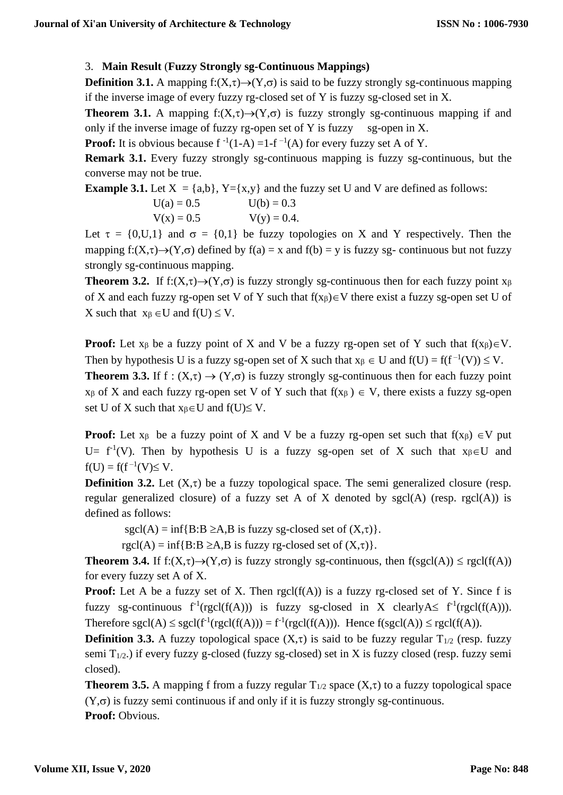## 3. **Main Result** (**Fuzzy Strongly sg-Continuous Mappings)**

**Definition 3.1.** A mapping  $f:(X,\tau) \rightarrow (Y,\sigma)$  is said to be fuzzy strongly sg-continuous mapping if the inverse image of every fuzzy rg-closed set of Y is fuzzy sg-closed set in X.

**Theorem 3.1.** A mapping f: $(X,\tau) \rightarrow (Y,\sigma)$  is fuzzy strongly sg-continuous mapping if and only if the inverse image of fuzzy rg-open set of Y is fuzzy sg-open in X.

**Proof:** It is obvious because  $f^{-1}(1-A) = 1 - f^{-1}(A)$  for every fuzzy set A of Y.

**Remark 3.1.** Every fuzzy strongly sg-continuous mapping is fuzzy sg-continuous, but the converse may not be true.

**Example 3.1.** Let  $X = \{a,b\}$ ,  $Y = \{x,y\}$  and the fuzzy set U and V are defined as follows:

$$
U(a) = 0.5
$$
  
\n
$$
V(x) = 0.5
$$
  
\n
$$
U(b) = 0.3
$$
  
\n
$$
V(y) = 0.4
$$

Let  $\tau = \{0, U, 1\}$  and  $\sigma = \{0, 1\}$  be fuzzy topologies on X and Y respectively. Then the mapping f:(X, $\tau$ )→(Y, $\sigma$ ) defined by f(a) = x and f(b) = y is fuzzy sg- continuous but not fuzzy strongly sg-continuous mapping.

**Theorem 3.2.** If f:(X, $\tau$ )→(Y, $\sigma$ ) is fuzzy strongly sg-continuous then for each fuzzy point x<sub> $\beta$ </sub> of X and each fuzzy rg-open set V of Y such that  $f(x_\beta) \in V$  there exist a fuzzy sg-open set U of X such that  $x_{\beta} \in U$  and  $f(U) \leq V$ .

**Proof:** Let  $x_\beta$  be a fuzzy point of X and V be a fuzzy rg-open set of Y such that  $f(x_\beta) \in V$ . Then by hypothesis U is a fuzzy sg-open set of X such that  $x_{\beta} \in U$  and  $f(U) = f(f^{-1}(V)) \leq V$ . **Theorem 3.3.** If  $f : (X,\tau) \to (Y,\sigma)$  is fuzzy strongly sg-continuous then for each fuzzy point  $x_{\beta}$  of X and each fuzzy rg-open set V of Y such that  $f(x_{\beta}) \in V$ , there exists a fuzzy sg-open set U of X such that  $x_{\beta} \in U$  and  $f(U) \leq V$ .

**Proof:** Let  $x_{\beta}$  be a fuzzy point of X and V be a fuzzy rg-open set such that  $f(x_{\beta}) \in V$  put U=  $f^{-1}(V)$ . Then by hypothesis U is a fuzzy sg-open set of X such that  $x_{\beta} \in U$  and  $f(U) = f(f^{-1}(V) \le V.$ 

**Definition 3.2.** Let  $(X,\tau)$  be a fuzzy topological space. The semi generalized closure (resp. regular generalized closure) of a fuzzy set A of X denoted by sgcl(A) (resp. rgcl(A)) is defined as follows:

 $sgcl(A) = inf{B:B \geq A,B \text{ is fuzzy sg-closed set of } (X,\tau)}.$ 

 $rgcd(A) = inf{B:B \geq A,B \text{ is fuzzy rg-closed set of } (X,\tau)}.$ 

**Theorem 3.4.** If  $f:(X,\tau) \to (Y,\sigma)$  is fuzzy strongly sg-continuous, then  $f(sgel(A)) \leq \text{rgcl}(f(A))$ for every fuzzy set A of X.

**Proof:** Let A be a fuzzy set of X. Then  $rgcl(f(A))$  is a fuzzy rg-closed set of Y. Since f is fuzzy sg-continuous  $f^{-1}(rgcl(f(A)))$  is fuzzy sg-closed in X clearly  $A \leq f^{-1}(rgcl(f(A))).$ Therefore sgcl(A)  $\leq$  sgcl(f<sup>-1</sup>(rgcl(f(A))) = f<sup>-1</sup>(rgcl(f(A))). Hence f(sgcl(A))  $\leq$  rgcl(f(A)).

**Definition 3.3.** A fuzzy topological space  $(X,\tau)$  is said to be fuzzy regular  $T_{1/2}$  (resp. fuzzy semi  $T_{1/2}$ .) if every fuzzy g-closed (fuzzy sg-closed) set in X is fuzzy closed (resp. fuzzy semi closed).

**Theorem 3.5.** A mapping f from a fuzzy regular  $T_{1/2}$  space  $(X,\tau)$  to a fuzzy topological space  $(Y,\sigma)$  is fuzzy semi continuous if and only if it is fuzzy strongly sg-continuous. **Proof:** Obvious.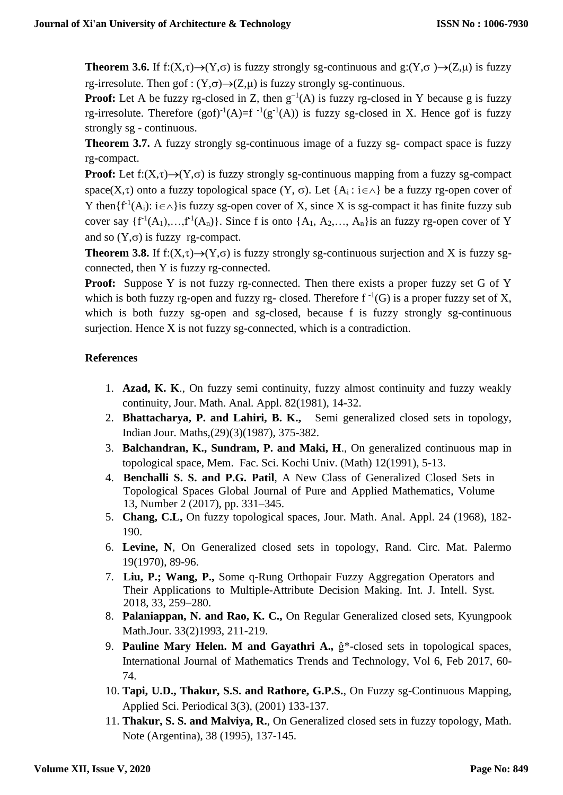**Theorem 3.6.** If f:(X, $\tau$ ) $\rightarrow$ (Y, $\sigma$ ) is fuzzy strongly sg-continuous and g:(Y, $\sigma$ ) $\rightarrow$ (Z, $\mu$ ) is fuzzy rg-irresolute. Then gof :  $(Y,\sigma) \rightarrow (Z,\mu)$  is fuzzy strongly sg-continuous.

**Proof:** Let A be fuzzy rg-closed in Z, then  $g^{-1}(A)$  is fuzzy rg-closed in Y because g is fuzzy rg-irresolute. Therefore  $(gof)^{-1}(A)=f^{-1}(g^{-1}(A))$  is fuzzy sg-closed in X. Hence gof is fuzzy strongly sg - continuous.

**Theorem 3.7.** A fuzzy strongly sg-continuous image of a fuzzy sg- compact space is fuzzy rg-compact.

**Proof:** Let f: $(X,\tau) \rightarrow (Y,\sigma)$  is fuzzy strongly sg-continuous mapping from a fuzzy sg-compact space(X, $\tau$ ) onto a fuzzy topological space (Y,  $\sigma$ ). Let {A<sub>i</sub>: i $\in \wedge$ } be a fuzzy rg-open cover of Y then  $\{f^{-1}(A_i): i \in \wedge\}$  is fuzzy sg-open cover of X, since X is sg-compact it has finite fuzzy sub cover say  $\{f^{-1}(A_1),...,f^{-1}(A_n)\}\$ . Since f is onto  $\{A_1, A_2,..., A_n\}$  is an fuzzy rg-open cover of Y and so  $(Y,\sigma)$  is fuzzy rg-compact.

**Theorem 3.8.** If f: $(X,\tau) \rightarrow (Y,\sigma)$  is fuzzy strongly sg-continuous surjection and X is fuzzy sgconnected, then Y is fuzzy rg-connected.

**Proof:** Suppose Y is not fuzzy rg-connected. Then there exists a proper fuzzy set G of Y which is both fuzzy rg-open and fuzzy rg-closed. Therefore  $f^{-1}(G)$  is a proper fuzzy set of X, which is both fuzzy sg-open and sg-closed, because f is fuzzy strongly sg-continuous surjection. Hence X is not fuzzy sg-connected, which is a contradiction.

## **References**

- 1. **Azad, K. K**., On fuzzy semi continuity, fuzzy almost continuity and fuzzy weakly continuity, Jour. Math. Anal. Appl. 82(1981), 14-32.
- 2. **Bhattacharya, P. and Lahiri, B. K.,** Semi generalized closed sets in topology, Indian Jour. Maths,(29)(3)(1987), 375-382.
- 3. **Balchandran, K., Sundram, P. and Maki, H**., On generalized continuous map in topological space, Mem. Fac. Sci. Kochi Univ. (Math) 12(1991), 5-13.
- 4. **Benchalli S. S. and P.G. Patil**, A New Class of Generalized Closed Sets in Topological Spaces Global Journal of Pure and Applied Mathematics, Volume 13, Number 2 (2017), pp. 331–345.
- 5. **Chang, C.L,** On fuzzy topological spaces, Jour. Math. Anal. Appl. 24 (1968), 182- 190.
- 6. **Levine, N**, On Generalized closed sets in topology, Rand. Circ. Mat. Palermo 19(1970), 89-96.
- 7. **Liu, P.; Wang, P.,** Some q-Rung Orthopair Fuzzy Aggregation Operators and Their Applications to Multiple-Attribute Decision Making. Int. J. Intell. Syst. 2018, 33, 259–280.
- 8. **Palaniappan, N. and Rao, K. C.,** On Regular Generalized closed sets, Kyungpook Math.Jour. 33(2)1993, 211-219.
- 9. **Pauline Mary Helen. M and Gayathri A.,** ĝ\*-closed sets in topological spaces, International Journal of Mathematics Trends and Technology, Vol 6, Feb 2017, 60- 74.
- 10. **Tapi, U.D., Thakur, S.S. and Rathore, G.P.S.**, On Fuzzy sg-Continuous Mapping, Applied Sci. Periodical 3(3), (2001) 133-137.
- 11. **Thakur, S. S. and Malviya, R.**, On Generalized closed sets in fuzzy topology, Math. Note (Argentina), 38 (1995), 137-145.